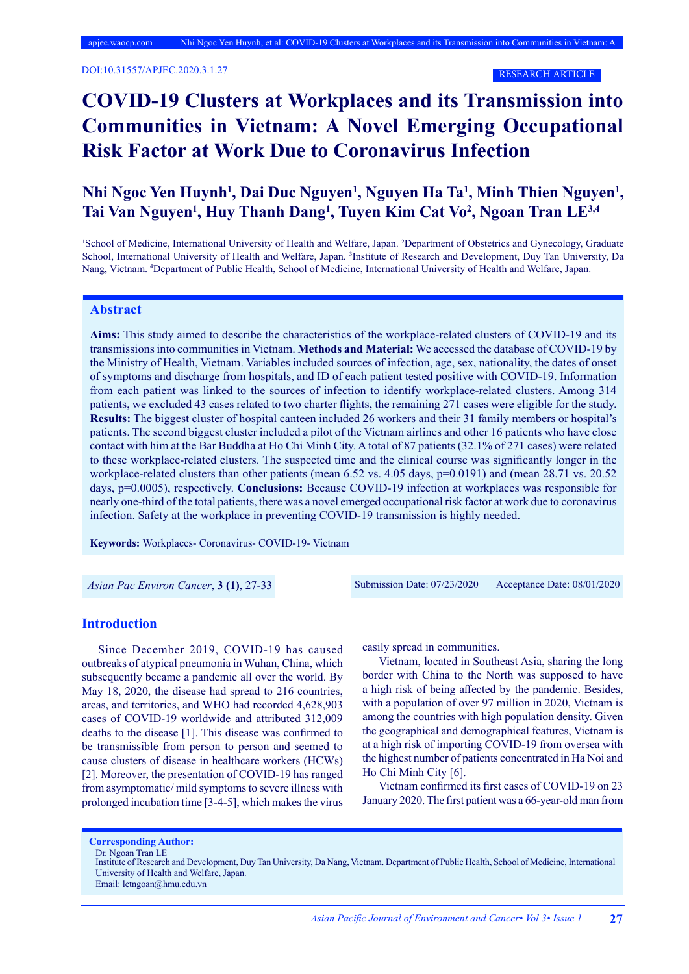DOI:10.31557/APJEC.2020.3.1.27

RESEARCH ARTICLE

# **COVID-19 Clusters at Workplaces and its Transmission into Communities in Vietnam: A Novel Emerging Occupational Risk Factor at Work Due to Coronavirus Infection**

# Nhi Ngoc Yen Huynh<sup>1</sup>, Dai Duc Nguyen<sup>1</sup>, Nguyen Ha Ta<sup>1</sup>, Minh Thien Nguyen<sup>1</sup>, Tai Van Nguyen<sup>1</sup>, Huy Thanh Dang<sup>1</sup>, Tuyen Kim Cat Vo<sup>2</sup>, Ngoan Tran LE<sup>3,4</sup>

<sup>1</sup>School of Medicine, International University of Health and Welfare, Japan. <sup>2</sup>Department of Obstetrics and Gynecology, Graduate School, International University of Health and Welfare, Japan. <sup>3</sup>Institute of Research and Development, Duy Tan University, Da Nang, Vietnam. 4 Department of Public Health, School of Medicine, International University of Health and Welfare, Japan.

# **Abstract**

**Aims:** This study aimed to describe the characteristics of the workplace-related clusters of COVID-19 and its transmissions into communities in Vietnam. **Methods and Material:** We accessed the database of COVID-19 by the Ministry of Health, Vietnam. Variables included sources of infection, age, sex, nationality, the dates of onset of symptoms and discharge from hospitals, and ID of each patient tested positive with COVID-19. Information from each patient was linked to the sources of infection to identify workplace-related clusters. Among 314 patients, we excluded 43 cases related to two charter flights, the remaining 271 cases were eligible for the study. **Results:** The biggest cluster of hospital canteen included 26 workers and their 31 family members or hospital's patients. The second biggest cluster included a pilot of the Vietnam airlines and other 16 patients who have close contact with him at the Bar Buddha at Ho Chi Minh City. A total of 87 patients (32.1% of 271 cases) were related to these workplace-related clusters. The suspected time and the clinical course was significantly longer in the workplace-related clusters than other patients (mean 6.52 vs. 4.05 days, p=0.0191) and (mean 28.71 vs. 20.52 days, p=0.0005), respectively. **Conclusions:** Because COVID-19 infection at workplaces was responsible for nearly one-third of the total patients, there was a novel emerged occupational risk factor at work due to coronavirus infection. Safety at the workplace in preventing COVID-19 transmission is highly needed.

**Keywords:** Workplaces- Coronavirus- COVID-19- Vietnam

*Asian Pac Environ Cancer*, **3 (1)**, 27-33 Submission Date: 07/23/2020 Acceptance Date: 08/01/2020

#### **Introduction**

Since December 2019, COVID-19 has caused outbreaks of atypical pneumonia in Wuhan, China, which subsequently became a pandemic all over the world. By May 18, 2020, the disease had spread to 216 countries, areas, and territories, and WHO had recorded 4,628,903 cases of COVID-19 worldwide and attributed 312,009 deaths to the disease [1]. This disease was confirmed to be transmissible from person to person and seemed to cause clusters of disease in healthcare workers (HCWs) [2]. Moreover, the presentation of COVID-19 has ranged from asymptomatic/ mild symptoms to severe illness with prolonged incubation time [3-4-5], which makes the virus easily spread in communities.

Vietnam, located in Southeast Asia, sharing the long border with China to the North was supposed to have a high risk of being affected by the pandemic. Besides, with a population of over 97 million in 2020, Vietnam is among the countries with high population density. Given the geographical and demographical features, Vietnam is at a high risk of importing COVID-19 from oversea with the highest number of patients concentrated in Ha Noi and Ho Chi Minh City [6].

Vietnam confirmed its first cases of COVID-19 on 23 January 2020. The first patient was a 66-year-old man from

**Corresponding Author:**

Dr. Ngoan Tran LE

Institute of Research and Development, Duy Tan University, Da Nang, Vietnam. Department of Public Health, School of Medicine, International University of Health and Welfare, Japan.

Email: letngoan@hmu.edu.vn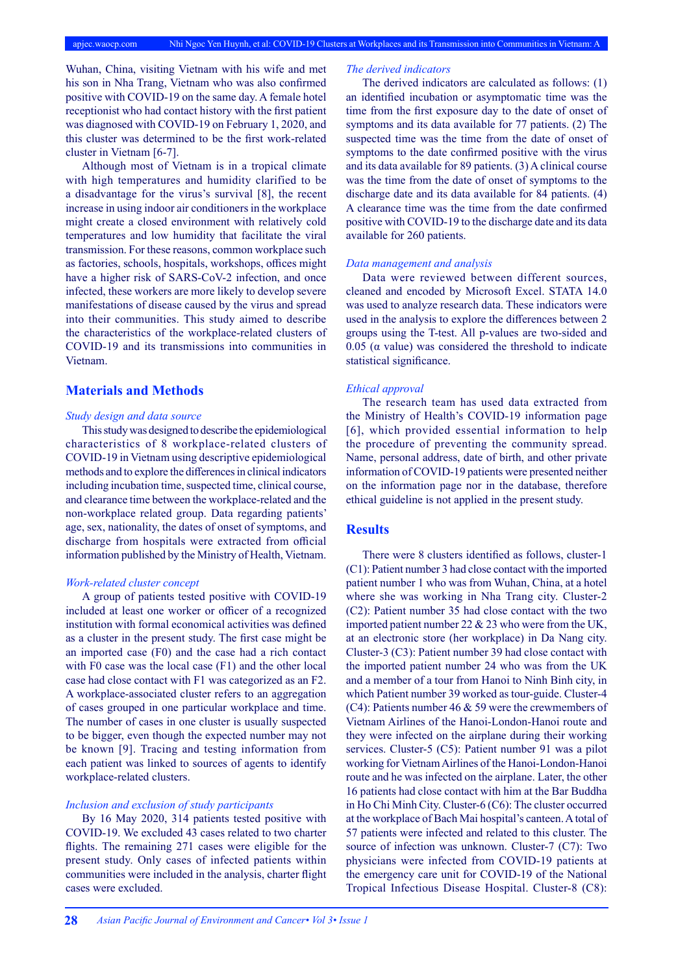Wuhan, China, visiting Vietnam with his wife and met his son in Nha Trang, Vietnam who was also confirmed positive with COVID-19 on the same day. A female hotel receptionist who had contact history with the first patient was diagnosed with COVID-19 on February 1, 2020, and this cluster was determined to be the first work-related cluster in Vietnam [6-7].

Although most of Vietnam is in a tropical climate with high temperatures and humidity clarified to be a disadvantage for the virus's survival [8], the recent increase in using indoor air conditioners in the workplace might create a closed environment with relatively cold temperatures and low humidity that facilitate the viral transmission. For these reasons, common workplace such as factories, schools, hospitals, workshops, offices might have a higher risk of SARS-CoV-2 infection, and once infected, these workers are more likely to develop severe manifestations of disease caused by the virus and spread into their communities. This study aimed to describe the characteristics of the workplace-related clusters of COVID-19 and its transmissions into communities in Vietnam.

### **Materials and Methods**

#### *Study design and data source*

This study was designed to describe the epidemiological characteristics of 8 workplace-related clusters of COVID-19 in Vietnam using descriptive epidemiological methods and to explore the differences in clinical indicators including incubation time, suspected time, clinical course, and clearance time between the workplace-related and the non-workplace related group. Data regarding patients' age, sex, nationality, the dates of onset of symptoms, and discharge from hospitals were extracted from official information published by the Ministry of Health, Vietnam.

#### *Work-related cluster concept*

A group of patients tested positive with COVID-19 included at least one worker or officer of a recognized institution with formal economical activities was defined as a cluster in the present study. The first case might be an imported case (F0) and the case had a rich contact with F0 case was the local case (F1) and the other local case had close contact with F1 was categorized as an F2. A workplace-associated cluster refers to an aggregation of cases grouped in one particular workplace and time. The number of cases in one cluster is usually suspected to be bigger, even though the expected number may not be known [9]. Tracing and testing information from each patient was linked to sources of agents to identify workplace-related clusters.

#### *Inclusion and exclusion of study participants*

By 16 May 2020, 314 patients tested positive with COVID-19. We excluded 43 cases related to two charter flights. The remaining 271 cases were eligible for the present study. Only cases of infected patients within communities were included in the analysis, charter flight cases were excluded.

#### *The derived indicators*

The derived indicators are calculated as follows: (1) an identified incubation or asymptomatic time was the time from the first exposure day to the date of onset of symptoms and its data available for 77 patients. (2) The suspected time was the time from the date of onset of symptoms to the date confirmed positive with the virus and its data available for 89 patients. (3) A clinical course was the time from the date of onset of symptoms to the discharge date and its data available for 84 patients. (4) A clearance time was the time from the date confirmed positive with COVID-19 to the discharge date and its data available for 260 patients.

#### *Data management and analysis*

Data were reviewed between different sources, cleaned and encoded by Microsoft Excel. STATA 14.0 was used to analyze research data. These indicators were used in the analysis to explore the differences between 2 groups using the T-test. All p-values are two-sided and 0.05 ( $\alpha$  value) was considered the threshold to indicate statistical significance.

#### *Ethical approval*

The research team has used data extracted from the Ministry of Health's COVID-19 information page [6], which provided essential information to help the procedure of preventing the community spread. Name, personal address, date of birth, and other private information of COVID-19 patients were presented neither on the information page nor in the database, therefore ethical guideline is not applied in the present study.

#### **Results**

There were 8 clusters identified as follows, cluster-1 (C1): Patient number 3 had close contact with the imported patient number 1 who was from Wuhan, China, at a hotel where she was working in Nha Trang city. Cluster-2 (C2): Patient number 35 had close contact with the two imported patient number 22 & 23 who were from the UK, at an electronic store (her workplace) in Da Nang city. Cluster-3 (C3): Patient number 39 had close contact with the imported patient number 24 who was from the UK and a member of a tour from Hanoi to Ninh Binh city, in which Patient number 39 worked as tour-guide. Cluster-4 (C4): Patients number 46 & 59 were the crewmembers of Vietnam Airlines of the Hanoi-London-Hanoi route and they were infected on the airplane during their working services. Cluster-5 (C5): Patient number 91 was a pilot working for Vietnam Airlines of the Hanoi-London-Hanoi route and he was infected on the airplane. Later, the other 16 patients had close contact with him at the Bar Buddha in Ho Chi Minh City. Cluster-6 (C6): The cluster occurred at the workplace of Bach Mai hospital's canteen. A total of 57 patients were infected and related to this cluster. The source of infection was unknown. Cluster-7 (C7): Two physicians were infected from COVID-19 patients at the emergency care unit for COVID-19 of the National Tropical Infectious Disease Hospital. Cluster-8 (C8):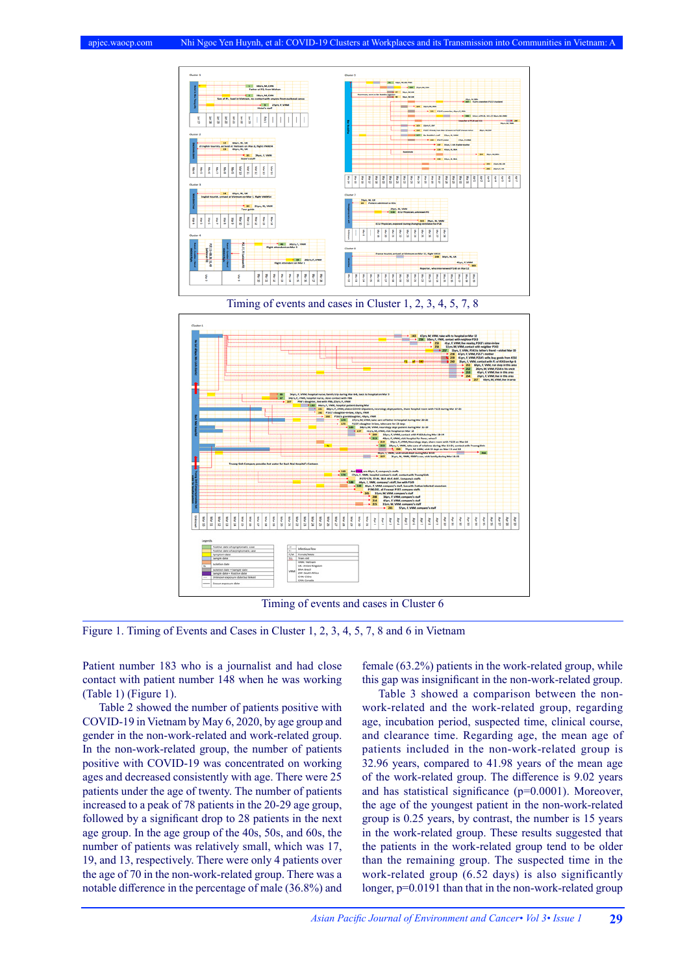

Timing of events and cases in Cluster 6

Figure 1. Timing of Events and Cases in Cluster 1, 2, 3, 4, 5, 7, 8 and 6 in Vietnam

Patient number 183 who is a journalist and had close contact with patient number 148 when he was working (Table 1) (Figure 1).

Table 2 showed the number of patients positive with COVID-19 in Vietnam by May 6, 2020, by age group and gender in the non-work-related and work-related group. In the non-work-related group, the number of patients positive with COVID-19 was concentrated on working ages and decreased consistently with age. There were 25 patients under the age of twenty. The number of patients increased to a peak of 78 patients in the 20-29 age group, followed by a significant drop to 28 patients in the next age group. In the age group of the 40s, 50s, and 60s, the number of patients was relatively small, which was 17, 19, and 13, respectively. There were only 4 patients over the age of 70 in the non-work-related group. There was a notable difference in the percentage of male (36.8%) and female (63.2%) patients in the work-related group, while this gap was insignificant in the non-work-related group.

Table 3 showed a comparison between the nonwork-related and the work-related group, regarding age, incubation period, suspected time, clinical course, and clearance time. Regarding age, the mean age of patients included in the non-work-related group is 32.96 years, compared to 41.98 years of the mean age of the work-related group. The difference is 9.02 years and has statistical significance (p=0.0001). Moreover, the age of the youngest patient in the non-work-related group is 0.25 years, by contrast, the number is 15 years in the work-related group. These results suggested that the patients in the work-related group tend to be older than the remaining group. The suspected time in the work-related group (6.52 days) is also significantly longer, p=0.0191 than that in the non-work-related group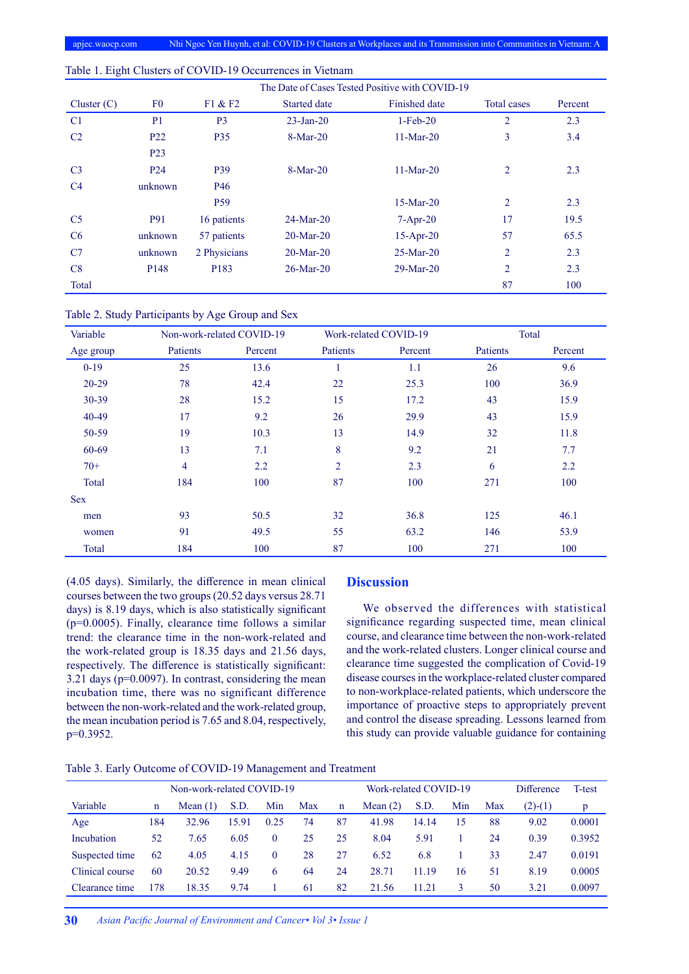|                |                  | The Date of Cases Tested Positive with COVID-19 |                     |                      |                |         |  |  |  |  |
|----------------|------------------|-------------------------------------------------|---------------------|----------------------|----------------|---------|--|--|--|--|
| Cluster $(C)$  | F <sub>0</sub>   | F1 & F2                                         | <b>Started date</b> | <b>Finished date</b> | Total cases    | Percent |  |  |  |  |
| C <sub>1</sub> | P <sub>1</sub>   | P <sub>3</sub>                                  | $23$ -Jan-20        | $1-Feb-20$           | $\overline{2}$ | 2.3     |  |  |  |  |
| C <sub>2</sub> | P <sub>22</sub>  | <b>P35</b>                                      | $8-Mar-20$          | $11-Mar-20$          | 3              | 3.4     |  |  |  |  |
|                | P <sub>23</sub>  |                                                 |                     |                      |                |         |  |  |  |  |
| C <sub>3</sub> | P <sub>24</sub>  | P39                                             | $8-Mar-20$          | $11-Mar-20$          | $\overline{2}$ | 2.3     |  |  |  |  |
| C <sub>4</sub> | unknown          | P <sub>46</sub>                                 |                     |                      |                |         |  |  |  |  |
|                |                  | P <sub>59</sub>                                 |                     | $15-Mar-20$          | $\overline{2}$ | 2.3     |  |  |  |  |
| C <sub>5</sub> | <b>P91</b>       | 16 patients                                     | $24-Mar-20$         | $7-Apr-20$           | 17             | 19.5    |  |  |  |  |
| C6             | unknown          | 57 patients                                     | $20-Mar-20$         | $15-Apr-20$          | 57             | 65.5    |  |  |  |  |
| C7             | unknown          | 2 Physicians                                    | $20-Mar-20$         | $25-Mar-20$          | 2              | 2.3     |  |  |  |  |
| C8             | P <sub>148</sub> | P183                                            | $26$ -Mar-20        | $29-Mar-20$          | $\overline{2}$ | 2.3     |  |  |  |  |
| Total          |                  |                                                 |                     |                      | 87             | 100     |  |  |  |  |

#### Table 1. Eight Clusters of COVID-19 Occurrences in Vietnam

Table 2. Study Participants by Age Group and Sex

| Variable   | Non-work-related COVID-19 |         |                | Work-related COVID-19 | Total    |         |  |
|------------|---------------------------|---------|----------------|-----------------------|----------|---------|--|
| Age group  | Patients                  | Percent | Patients       | Percent               | Patients | Percent |  |
| $0-19$     | 25                        | 13.6    |                | 1.1                   | 26       | 9.6     |  |
| $20 - 29$  | 78                        | 42.4    | 22             | 25.3                  |          | 36.9    |  |
| $30 - 39$  | 28                        | 15.2    | 15             | 17.2                  | 43       | 15.9    |  |
| 40-49      | 17                        | 9.2     | 26             | 29.9                  | 43       | 15.9    |  |
| 50-59      | 19                        | 10.3    | 13             | 14.9                  | 32       | 11.8    |  |
| 60-69      | 13                        | 7.1     | 8              | 9.2                   | 21       | 7.7     |  |
| $70+$      | $\overline{\mathcal{A}}$  | 2.2     | $\overline{2}$ | 2.3                   | 6        | 2.2     |  |
| Total      | 184                       | 100     | 87             | 100                   | 271      | 100     |  |
| <b>Sex</b> |                           |         |                |                       |          |         |  |
| men        | 93                        | 50.5    | 32             | 36.8                  | 125      | 46.1    |  |
| women      | 91                        | 49.5    | 55             | 63.2                  | 146      | 53.9    |  |
| Total      | 184                       | 100     | 87             | 100                   | 271      | 100     |  |

(4.05 days). Similarly, the difference in mean clinical courses between the two groups (20.52 days versus 28.71 days) is 8.19 days, which is also statistically significant (p=0.0005). Finally, clearance time follows a similar trend: the clearance time in the non-work-related and the work-related group is 18.35 days and 21.56 days, respectively. The difference is statistically significant: 3.21 days (p=0.0097). In contrast, considering the mean incubation time, there was no significant difference between the non-work-related and the work-related group, the mean incubation period is 7.65 and 8.04, respectively, p=0.3952.

# **Discussion**

We observed the differences with statistical significance regarding suspected time, mean clinical course, and clearance time between the non-work-related and the work-related clusters. Longer clinical course and clearance time suggested the complication of Covid-19 disease courses in the workplace-related cluster compared to non-workplace-related patients, which underscore the importance of proactive steps to appropriately prevent and control the disease spreading. Lessons learned from this study can provide valuable guidance for containing

|  | Table 3. Early Outcome of COVID-19 Management and Treatment |  |
|--|-------------------------------------------------------------|--|
|  |                                                             |  |

|                 | Non-work-related COVID-19 |            |       |              |     | Work-related COVID-19 |            |       |     | Difference | T-test    |        |
|-----------------|---------------------------|------------|-------|--------------|-----|-----------------------|------------|-------|-----|------------|-----------|--------|
| Variable        | n                         | Mean $(1)$ | S.D.  | Min          | Max | $\mathbf n$           | Mean $(2)$ | S.D.  | Min | Max        | $(2)-(1)$ | p      |
| Age             | 184                       | 32.96      | 15.91 | 0.25         | 74  | 87                    | 41.98      | 14.14 | 15  | 88         | 9.02      | 0.0001 |
| Incubation      | 52                        | 7.65       | 6.05  | $\theta$     | 25  | 25                    | 8.04       | 5.91  |     | 24         | 0.39      | 0.3952 |
| Suspected time  | 62                        | 4.05       | 4.15  | $\mathbf{0}$ | 28  | 27                    | 6.52       | 6.8   |     | 33         | 2.47      | 0.0191 |
| Clinical course | 60                        | 20.52      | 9.49  | 6            | 64  | 24                    | 28.71      | 11.19 | 16  | 51         | 8.19      | 0.0005 |
| Clearance time  | 178                       | 18.35      | 9.74  |              | 61  | 82                    | 21.56      | 11.21 | 3   | 50         | 3.21      | 0.0097 |
|                 |                           |            |       |              |     |                       |            |       |     |            |           |        |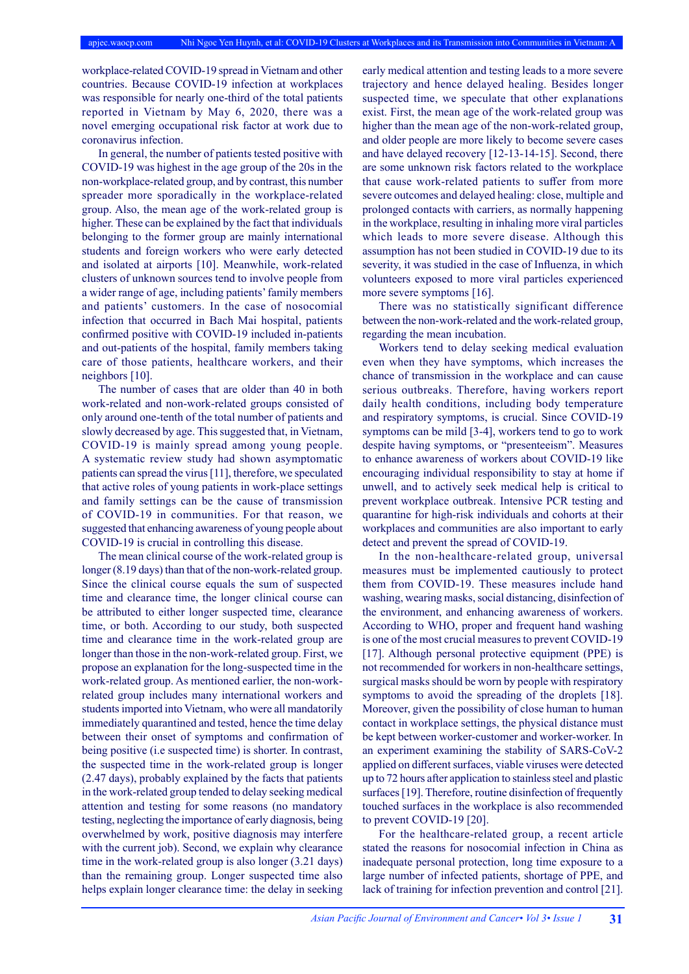workplace-related COVID-19 spread in Vietnam and other countries. Because COVID-19 infection at workplaces was responsible for nearly one-third of the total patients reported in Vietnam by May 6, 2020, there was a novel emerging occupational risk factor at work due to coronavirus infection.

In general, the number of patients tested positive with COVID-19 was highest in the age group of the 20s in the non-workplace-related group, and by contrast, this number spreader more sporadically in the workplace-related group. Also, the mean age of the work-related group is higher. These can be explained by the fact that individuals belonging to the former group are mainly international students and foreign workers who were early detected and isolated at airports [10]. Meanwhile, work-related clusters of unknown sources tend to involve people from a wider range of age, including patients' family members and patients' customers. In the case of nosocomial infection that occurred in Bach Mai hospital, patients confirmed positive with COVID-19 included in-patients and out-patients of the hospital, family members taking care of those patients, healthcare workers, and their neighbors [10].

The number of cases that are older than 40 in both work-related and non-work-related groups consisted of only around one-tenth of the total number of patients and slowly decreased by age. This suggested that, in Vietnam, COVID-19 is mainly spread among young people. A systematic review study had shown asymptomatic patients can spread the virus [11], therefore, we speculated that active roles of young patients in work-place settings and family settings can be the cause of transmission of COVID-19 in communities. For that reason, we suggested that enhancing awareness of young people about COVID-19 is crucial in controlling this disease.

The mean clinical course of the work-related group is longer (8.19 days) than that of the non-work-related group. Since the clinical course equals the sum of suspected time and clearance time, the longer clinical course can be attributed to either longer suspected time, clearance time, or both. According to our study, both suspected time and clearance time in the work-related group are longer than those in the non-work-related group. First, we propose an explanation for the long-suspected time in the work-related group. As mentioned earlier, the non-workrelated group includes many international workers and students imported into Vietnam, who were all mandatorily immediately quarantined and tested, hence the time delay between their onset of symptoms and confirmation of being positive (i.e suspected time) is shorter. In contrast, the suspected time in the work-related group is longer (2.47 days), probably explained by the facts that patients in the work-related group tended to delay seeking medical attention and testing for some reasons (no mandatory testing, neglecting the importance of early diagnosis, being overwhelmed by work, positive diagnosis may interfere with the current job). Second, we explain why clearance time in the work-related group is also longer (3.21 days) than the remaining group. Longer suspected time also helps explain longer clearance time: the delay in seeking

early medical attention and testing leads to a more severe trajectory and hence delayed healing. Besides longer suspected time, we speculate that other explanations exist. First, the mean age of the work-related group was higher than the mean age of the non-work-related group, and older people are more likely to become severe cases and have delayed recovery [12-13-14-15]. Second, there are some unknown risk factors related to the workplace that cause work-related patients to suffer from more severe outcomes and delayed healing: close, multiple and prolonged contacts with carriers, as normally happening in the workplace, resulting in inhaling more viral particles which leads to more severe disease. Although this assumption has not been studied in COVID-19 due to its severity, it was studied in the case of Influenza, in which volunteers exposed to more viral particles experienced more severe symptoms [16].

There was no statistically significant difference between the non-work-related and the work-related group, regarding the mean incubation.

Workers tend to delay seeking medical evaluation even when they have symptoms, which increases the chance of transmission in the workplace and can cause serious outbreaks. Therefore, having workers report daily health conditions, including body temperature and respiratory symptoms, is crucial. Since COVID-19 symptoms can be mild [3-4], workers tend to go to work despite having symptoms, or "presenteeism". Measures to enhance awareness of workers about COVID-19 like encouraging individual responsibility to stay at home if unwell, and to actively seek medical help is critical to prevent workplace outbreak. Intensive PCR testing and quarantine for high-risk individuals and cohorts at their workplaces and communities are also important to early detect and prevent the spread of COVID-19.

In the non-healthcare-related group, universal measures must be implemented cautiously to protect them from COVID-19. These measures include hand washing, wearing masks, social distancing, disinfection of the environment, and enhancing awareness of workers. According to WHO, proper and frequent hand washing is one of the most crucial measures to prevent COVID-19 [17]. Although personal protective equipment (PPE) is not recommended for workers in non-healthcare settings, surgical masks should be worn by people with respiratory symptoms to avoid the spreading of the droplets [18]. Moreover, given the possibility of close human to human contact in workplace settings, the physical distance must be kept between worker-customer and worker-worker. In an experiment examining the stability of SARS-CoV-2 applied on different surfaces, viable viruses were detected up to 72 hours after application to stainless steel and plastic surfaces [19]. Therefore, routine disinfection of frequently touched surfaces in the workplace is also recommended to prevent COVID-19 [20].

For the healthcare-related group, a recent article stated the reasons for nosocomial infection in China as inadequate personal protection, long time exposure to a large number of infected patients, shortage of PPE, and lack of training for infection prevention and control [21].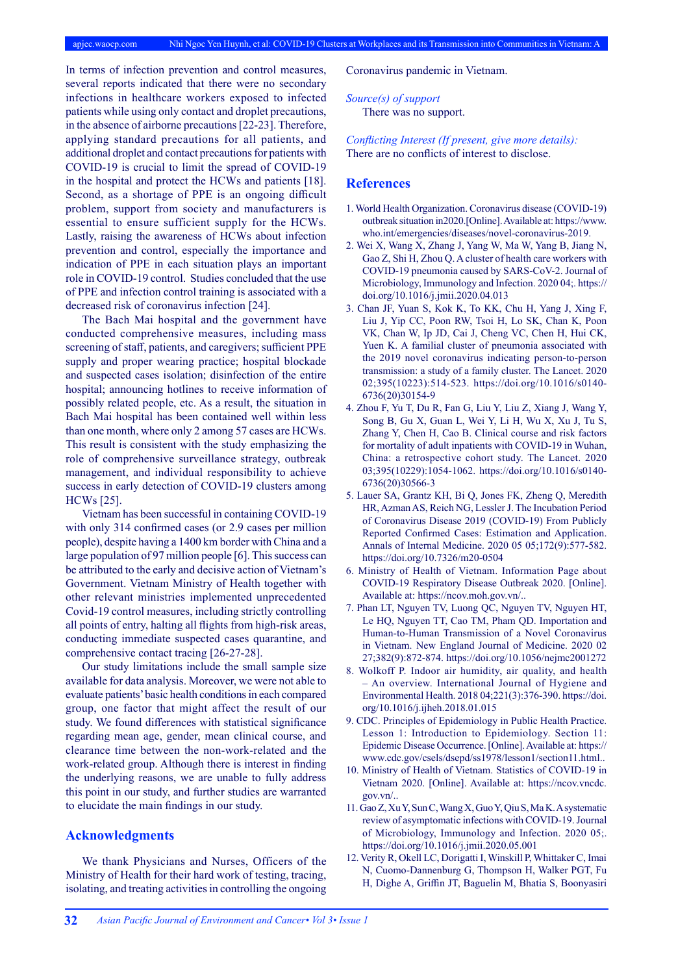In terms of infection prevention and control measures, several reports indicated that there were no secondary infections in healthcare workers exposed to infected patients while using only contact and droplet precautions, in the absence of airborne precautions [22-23]. Therefore, applying standard precautions for all patients, and additional droplet and contact precautions for patients with COVID-19 is crucial to limit the spread of COVID-19 in the hospital and protect the HCWs and patients [18]. Second, as a shortage of PPE is an ongoing difficult problem, support from society and manufacturers is essential to ensure sufficient supply for the HCWs. Lastly, raising the awareness of HCWs about infection prevention and control, especially the importance and indication of PPE in each situation plays an important role in COVID-19 control. Studies concluded that the use of PPE and infection control training is associated with a decreased risk of coronavirus infection [24].

The Bach Mai hospital and the government have conducted comprehensive measures, including mass screening of staff, patients, and caregivers; sufficient PPE supply and proper wearing practice; hospital blockade and suspected cases isolation; disinfection of the entire hospital; announcing hotlines to receive information of possibly related people, etc. As a result, the situation in Bach Mai hospital has been contained well within less than one month, where only 2 among 57 cases are HCWs. This result is consistent with the study emphasizing the role of comprehensive surveillance strategy, outbreak management, and individual responsibility to achieve success in early detection of COVID-19 clusters among HCWs [25].

Vietnam has been successful in containing COVID-19 with only 314 confirmed cases (or 2.9 cases per million people), despite having a 1400 km border with China and a large population of 97 million people [6]. This success can be attributed to the early and decisive action of Vietnam's Government. Vietnam Ministry of Health together with other relevant ministries implemented unprecedented Covid-19 control measures, including strictly controlling all points of entry, halting all flights from high-risk areas, conducting immediate suspected cases quarantine, and comprehensive contact tracing [26-27-28].

Our study limitations include the small sample size available for data analysis. Moreover, we were not able to evaluate patients' basic health conditions in each compared group, one factor that might affect the result of our study. We found differences with statistical significance regarding mean age, gender, mean clinical course, and clearance time between the non-work-related and the work-related group. Although there is interest in finding the underlying reasons, we are unable to fully address this point in our study, and further studies are warranted to elucidate the main findings in our study.

# **Acknowledgments**

We thank Physicians and Nurses, Officers of the Ministry of Health for their hard work of testing, tracing, isolating, and treating activities in controlling the ongoing

Coronavirus pandemic in Vietnam.

*Source(s) of support* There was no support.

*Conflicting Interest (If present, give more details):*  There are no conflicts of interest to disclose.

## **References**

- 1. World Health Organization. Coronavirus disease (COVID-19) outbreak situation in2020.[Online]. Available at: https://www. who.int/emergencies/diseases/novel-coronavirus-2019.
- 2. Wei X, Wang X, Zhang J, Yang W, Ma W, Yang B, Jiang N, Gao Z, Shi H, Zhou Q. A cluster of health care workers with COVID-19 pneumonia caused by SARS-CoV-2. Journal of Microbiology, Immunology and Infection. 2020 04;. https:// doi.org/10.1016/j.jmii.2020.04.013
- 3. Chan JF, Yuan S, Kok K, To KK, Chu H, Yang J, Xing F, Liu J, Yip CC, Poon RW, Tsoi H, Lo SK, Chan K, Poon VK, Chan W, Ip JD, Cai J, Cheng VC, Chen H, Hui CK, Yuen K. A familial cluster of pneumonia associated with the 2019 novel coronavirus indicating person-to-person transmission: a study of a family cluster. The Lancet. 2020 02;395(10223):514-523. https://doi.org/10.1016/s0140- 6736(20)30154-9
- 4. Zhou F, Yu T, Du R, Fan G, Liu Y, Liu Z, Xiang J, Wang Y, Song B, Gu X, Guan L, Wei Y, Li H, Wu X, Xu J, Tu S, Zhang Y, Chen H, Cao B. Clinical course and risk factors for mortality of adult inpatients with COVID-19 in Wuhan, China: a retrospective cohort study. The Lancet. 2020 03;395(10229):1054-1062. https://doi.org/10.1016/s0140- 6736(20)30566-3
- 5. Lauer SA, Grantz KH, Bi Q, Jones FK, Zheng Q, Meredith HR, Azman AS, Reich NG, Lessler J. The Incubation Period of Coronavirus Disease 2019 (COVID-19) From Publicly Reported Confirmed Cases: Estimation and Application. Annals of Internal Medicine. 2020 05 05;172(9):577-582. https://doi.org/10.7326/m20-0504
- 6. Ministry of Health of Vietnam. Information Page about COVID-19 Respiratory Disease Outbreak 2020. [Online]. Available at: https://ncov.moh.gov.vn/..
- 7. Phan LT, Nguyen TV, Luong QC, Nguyen TV, Nguyen HT, Le HQ, Nguyen TT, Cao TM, Pham QD. Importation and Human-to-Human Transmission of a Novel Coronavirus in Vietnam. New England Journal of Medicine. 2020 02 27;382(9):872-874. https://doi.org/10.1056/nejmc2001272
- 8. Wolkoff P. Indoor air humidity, air quality, and health – An overview. International Journal of Hygiene and Environmental Health. 2018 04;221(3):376-390. https://doi. org/10.1016/j.ijheh.2018.01.015
- 9. CDC. Principles of Epidemiology in Public Health Practice. Lesson 1: Introduction to Epidemiology. Section 11: Epidemic Disease Occurrence. [Online]. Available at: https:// www.cdc.gov/csels/dsepd/ss1978/lesson1/section11.html..
- 10. Ministry of Health of Vietnam. Statistics of COVID-19 in Vietnam 2020. [Online]. Available at: https://ncov.vncdc.  $g$ ov.vn $/$ ..
- 11. Gao Z, Xu Y, Sun C, Wang X, Guo Y, Qiu S, Ma K. A systematic review of asymptomatic infections with COVID-19. Journal of Microbiology, Immunology and Infection. 2020 05;. https://doi.org/10.1016/j.jmii.2020.05.001
- 12. Verity R, Okell LC, Dorigatti I, Winskill P, Whittaker C, Imai N, Cuomo-Dannenburg G, Thompson H, Walker PGT, Fu H, Dighe A, Griffin JT, Baguelin M, Bhatia S, Boonyasiri